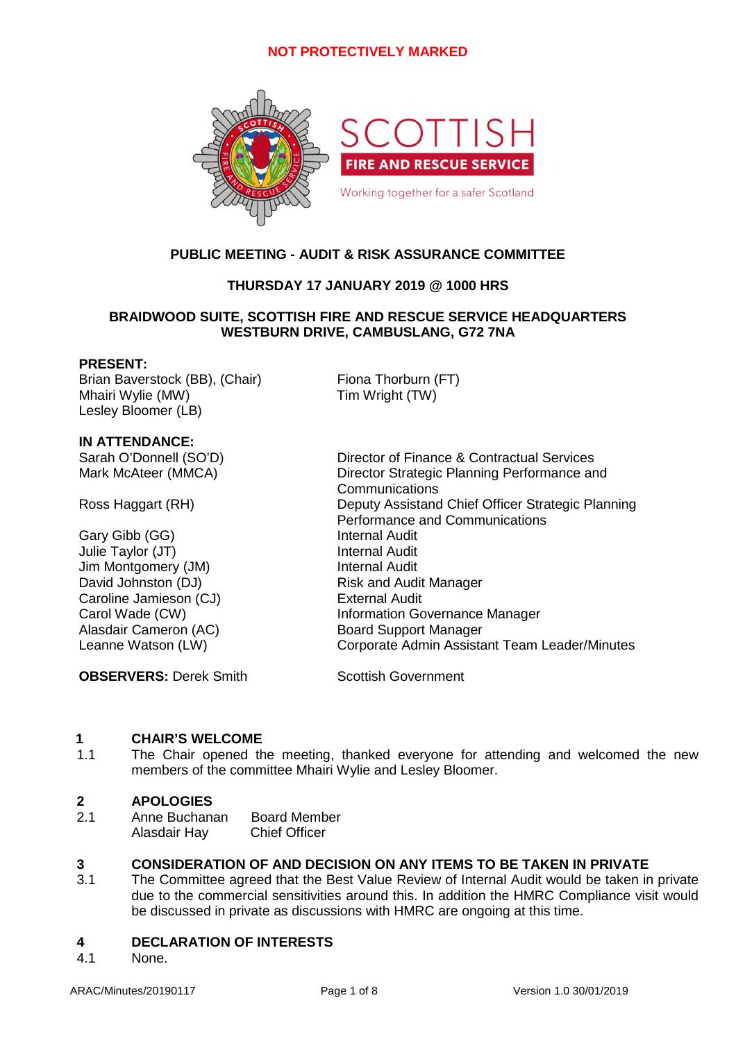

# **PUBLIC MEETING - AUDIT & RISK ASSURANCE COMMITTEE**

# **THURSDAY 17 JANUARY 2019 @ 1000 HRS**

# **BRAIDWOOD SUITE, SCOTTISH FIRE AND RESCUE SERVICE HEADQUARTERS WESTBURN DRIVE, CAMBUSLANG, G72 7NA**

### **PRESENT:**

Brian Baverstock (BB), (Chair) Fiona Thorburn (FT) Mhairi Wylie (MW) **Tim Wright (TW)** Lesley Bloomer (LB)

**IN ATTENDANCE:**

Gary Gibb (GG) Julie Taylor (JT) **Internal Audit** Jim Montgomery (JM) Sand Audit internal Audit David Johnston (DJ) Risk and Audit Manager Caroline Jamieson (CJ) External Audit Alasdair Cameron (AC) Board Support Manager

**OBSERVERS:** Derek Smith Scottish Government

Sarah O'Donnell (SO'D) Director of Finance & Contractual Services Mark McAteer (MMCA) Director Strategic Planning Performance and Communications Ross Haggart (RH) Deputy Assistand Chief Officer Strategic Planning Performance and Communications<br>Internal Audit Carol Wade (CW) The Information Governance Manager Leanne Watson (LW) Corporate Admin Assistant Team Leader/Minutes

# **1 CHAIR'S WELCOME**

1.1 The Chair opened the meeting, thanked everyone for attending and welcomed the new members of the committee Mhairi Wylie and Lesley Bloomer.

# **2 APOLOGIES**

2.1 Anne Buchanan Board Member Alasdair Hay Chief Officer

# **3 CONSIDERATION OF AND DECISION ON ANY ITEMS TO BE TAKEN IN PRIVATE**

3.1 The Committee agreed that the Best Value Review of Internal Audit would be taken in private due to the commercial sensitivities around this. In addition the HMRC Compliance visit would be discussed in private as discussions with HMRC are ongoing at this time.

#### **4 DECLARATION OF INTERESTS**

4.1 None.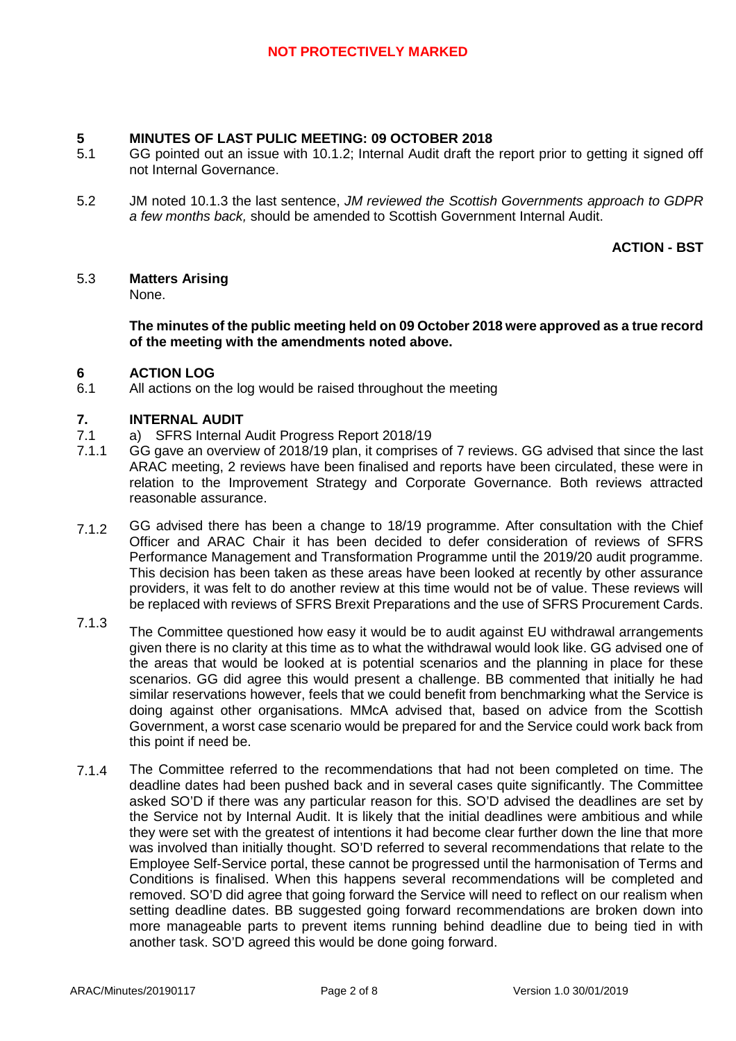### **5 MINUTES OF LAST PULIC MEETING: 09 OCTOBER 2018**

- 5.1 GG pointed out an issue with 10.1.2; Internal Audit draft the report prior to getting it signed off not Internal Governance.
- 5.2 JM noted 10.1.3 the last sentence, *JM reviewed the Scottish Governments approach to GDPR a few months back,* should be amended to Scottish Government Internal Audit.

**ACTION - BST**

#### 5.3 **Matters Arising**

None.

**The minutes of the public meeting held on 09 October 2018 were approved as a true record of the meeting with the amendments noted above.**

#### **6 ACTION LOG**

6.1 All actions on the log would be raised throughout the meeting

### **7. INTERNAL AUDIT**

- 7.1 a) SFRS Internal Audit Progress Report 2018/19
- 7.1.1 GG gave an overview of 2018/19 plan, it comprises of 7 reviews. GG advised that since the last ARAC meeting, 2 reviews have been finalised and reports have been circulated, these were in relation to the Improvement Strategy and Corporate Governance. Both reviews attracted reasonable assurance.
- 7.1.2 GG advised there has been a change to 18/19 programme. After consultation with the Chief Officer and ARAC Chair it has been decided to defer consideration of reviews of SFRS Performance Management and Transformation Programme until the 2019/20 audit programme. This decision has been taken as these areas have been looked at recently by other assurance providers, it was felt to do another review at this time would not be of value. These reviews will be replaced with reviews of SFRS Brexit Preparations and the use of SFRS Procurement Cards.
- 7.1.3 The Committee questioned how easy it would be to audit against EU withdrawal arrangements given there is no clarity at this time as to what the withdrawal would look like. GG advised one of the areas that would be looked at is potential scenarios and the planning in place for these scenarios. GG did agree this would present a challenge. BB commented that initially he had similar reservations however, feels that we could benefit from benchmarking what the Service is doing against other organisations. MMcA advised that, based on advice from the Scottish Government, a worst case scenario would be prepared for and the Service could work back from this point if need be.
- 7.1.4 The Committee referred to the recommendations that had not been completed on time. The deadline dates had been pushed back and in several cases quite significantly. The Committee asked SO'D if there was any particular reason for this. SO'D advised the deadlines are set by the Service not by Internal Audit. It is likely that the initial deadlines were ambitious and while they were set with the greatest of intentions it had become clear further down the line that more was involved than initially thought. SO'D referred to several recommendations that relate to the Employee Self-Service portal, these cannot be progressed until the harmonisation of Terms and Conditions is finalised. When this happens several recommendations will be completed and removed. SO'D did agree that going forward the Service will need to reflect on our realism when setting deadline dates. BB suggested going forward recommendations are broken down into more manageable parts to prevent items running behind deadline due to being tied in with another task. SO'D agreed this would be done going forward.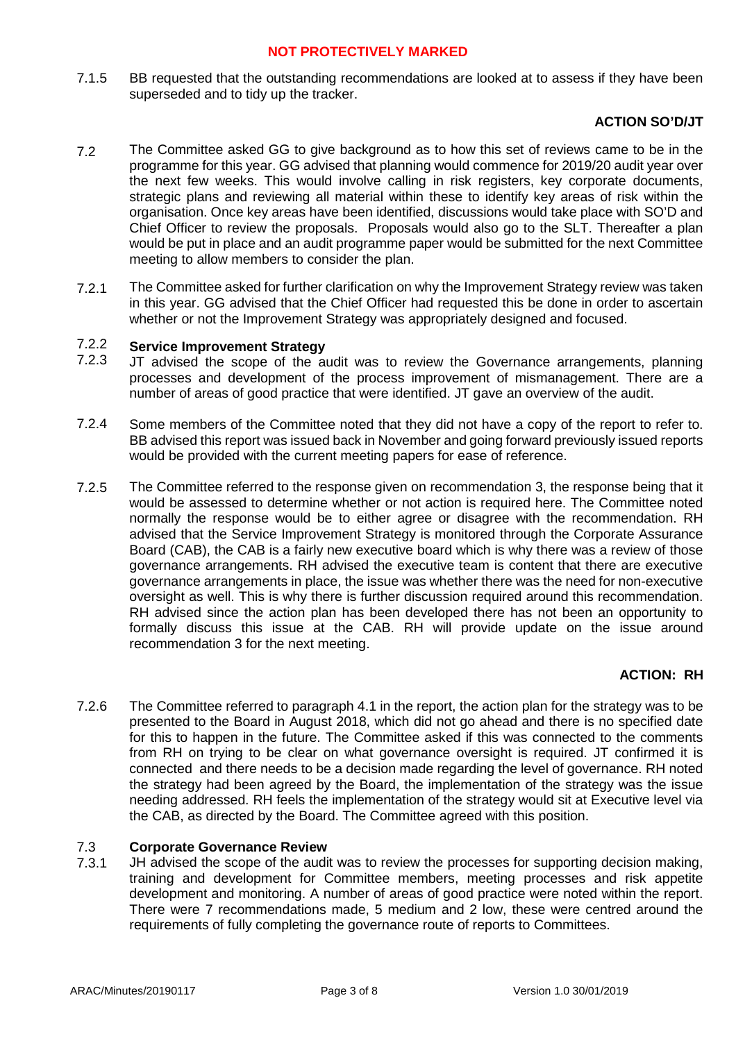7.1.5 BB requested that the outstanding recommendations are looked at to assess if they have been superseded and to tidy up the tracker.

# **ACTION SO'D/JT**

- 7.2 The Committee asked GG to give background as to how this set of reviews came to be in the programme for this year. GG advised that planning would commence for 2019/20 audit year over the next few weeks. This would involve calling in risk registers, key corporate documents, strategic plans and reviewing all material within these to identify key areas of risk within the organisation. Once key areas have been identified, discussions would take place with SO'D and Chief Officer to review the proposals. Proposals would also go to the SLT. Thereafter a plan would be put in place and an audit programme paper would be submitted for the next Committee meeting to allow members to consider the plan.
- 7.2.1 The Committee asked for further clarification on why the Improvement Strategy review was taken in this year. GG advised that the Chief Officer had requested this be done in order to ascertain whether or not the Improvement Strategy was appropriately designed and focused.

#### 7.2.2 **Service Improvement Strategy**

- 7.2.3 JT advised the scope of the audit was to review the Governance arrangements, planning processes and development of the process improvement of mismanagement. There are a number of areas of good practice that were identified. JT gave an overview of the audit.
- 7.2.4 Some members of the Committee noted that they did not have a copy of the report to refer to. BB advised this report was issued back in November and going forward previously issued reports would be provided with the current meeting papers for ease of reference.
- 7.2.5 The Committee referred to the response given on recommendation 3, the response being that it would be assessed to determine whether or not action is required here. The Committee noted normally the response would be to either agree or disagree with the recommendation. RH advised that the Service Improvement Strategy is monitored through the Corporate Assurance Board (CAB), the CAB is a fairly new executive board which is why there was a review of those governance arrangements. RH advised the executive team is content that there are executive governance arrangements in place, the issue was whether there was the need for non-executive oversight as well. This is why there is further discussion required around this recommendation. RH advised since the action plan has been developed there has not been an opportunity to formally discuss this issue at the CAB. RH will provide update on the issue around recommendation 3 for the next meeting.

# **ACTION: RH**

7.2.6 The Committee referred to paragraph 4.1 in the report, the action plan for the strategy was to be presented to the Board in August 2018, which did not go ahead and there is no specified date for this to happen in the future. The Committee asked if this was connected to the comments from RH on trying to be clear on what governance oversight is required. JT confirmed it is connected and there needs to be a decision made regarding the level of governance. RH noted the strategy had been agreed by the Board, the implementation of the strategy was the issue needing addressed. RH feels the implementation of the strategy would sit at Executive level via the CAB, as directed by the Board. The Committee agreed with this position.

#### 7.3 **Corporate Governance Review**

7.3.1 JH advised the scope of the audit was to review the processes for supporting decision making, training and development for Committee members, meeting processes and risk appetite development and monitoring. A number of areas of good practice were noted within the report. There were 7 recommendations made, 5 medium and 2 low, these were centred around the requirements of fully completing the governance route of reports to Committees.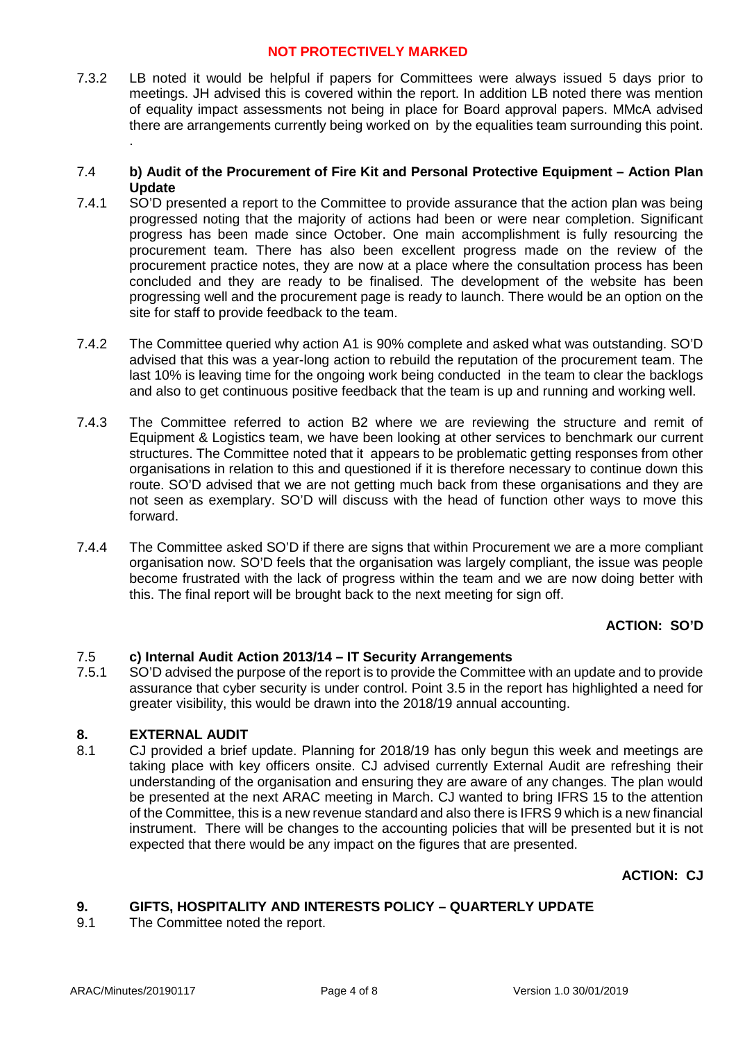7.3.2 LB noted it would be helpful if papers for Committees were always issued 5 days prior to meetings. JH advised this is covered within the report. In addition LB noted there was mention of equality impact assessments not being in place for Board approval papers. MMcA advised there are arrangements currently being worked on by the equalities team surrounding this point. .

### 7.4 **b) Audit of the Procurement of Fire Kit and Personal Protective Equipment – Action Plan Update**

- 7.4.1 SO'D presented a report to the Committee to provide assurance that the action plan was being progressed noting that the majority of actions had been or were near completion. Significant progress has been made since October. One main accomplishment is fully resourcing the procurement team. There has also been excellent progress made on the review of the procurement practice notes, they are now at a place where the consultation process has been concluded and they are ready to be finalised. The development of the website has been progressing well and the procurement page is ready to launch. There would be an option on the site for staff to provide feedback to the team.
- 7.4.2 The Committee queried why action A1 is 90% complete and asked what was outstanding. SO'D advised that this was a year-long action to rebuild the reputation of the procurement team. The last 10% is leaving time for the ongoing work being conducted in the team to clear the backlogs and also to get continuous positive feedback that the team is up and running and working well.
- 7.4.3 The Committee referred to action B2 where we are reviewing the structure and remit of Equipment & Logistics team, we have been looking at other services to benchmark our current structures. The Committee noted that it appears to be problematic getting responses from other organisations in relation to this and questioned if it is therefore necessary to continue down this route. SO'D advised that we are not getting much back from these organisations and they are not seen as exemplary. SO'D will discuss with the head of function other ways to move this forward.
- 7.4.4 The Committee asked SO'D if there are signs that within Procurement we are a more compliant organisation now. SO'D feels that the organisation was largely compliant, the issue was people become frustrated with the lack of progress within the team and we are now doing better with this. The final report will be brought back to the next meeting for sign off.

# **ACTION: SO'D**

#### 7.5 **c) Internal Audit Action 2013/14 – IT Security Arrangements**

7.5.1 SO'D advised the purpose of the report is to provide the Committee with an update and to provide assurance that cyber security is under control. Point 3.5 in the report has highlighted a need for greater visibility, this would be drawn into the 2018/19 annual accounting.

#### **8. EXTERNAL AUDIT**

8.1 CJ provided a brief update. Planning for 2018/19 has only begun this week and meetings are taking place with key officers onsite. CJ advised currently External Audit are refreshing their understanding of the organisation and ensuring they are aware of any changes. The plan would be presented at the next ARAC meeting in March. CJ wanted to bring IFRS 15 to the attention of the Committee, this is a new revenue standard and also there is IFRS 9 which is a new financial instrument. There will be changes to the accounting policies that will be presented but it is not expected that there would be any impact on the figures that are presented.

# **ACTION: CJ**

#### **9. GIFTS, HOSPITALITY AND INTERESTS POLICY – QUARTERLY UPDATE**

9.1 The Committee noted the report.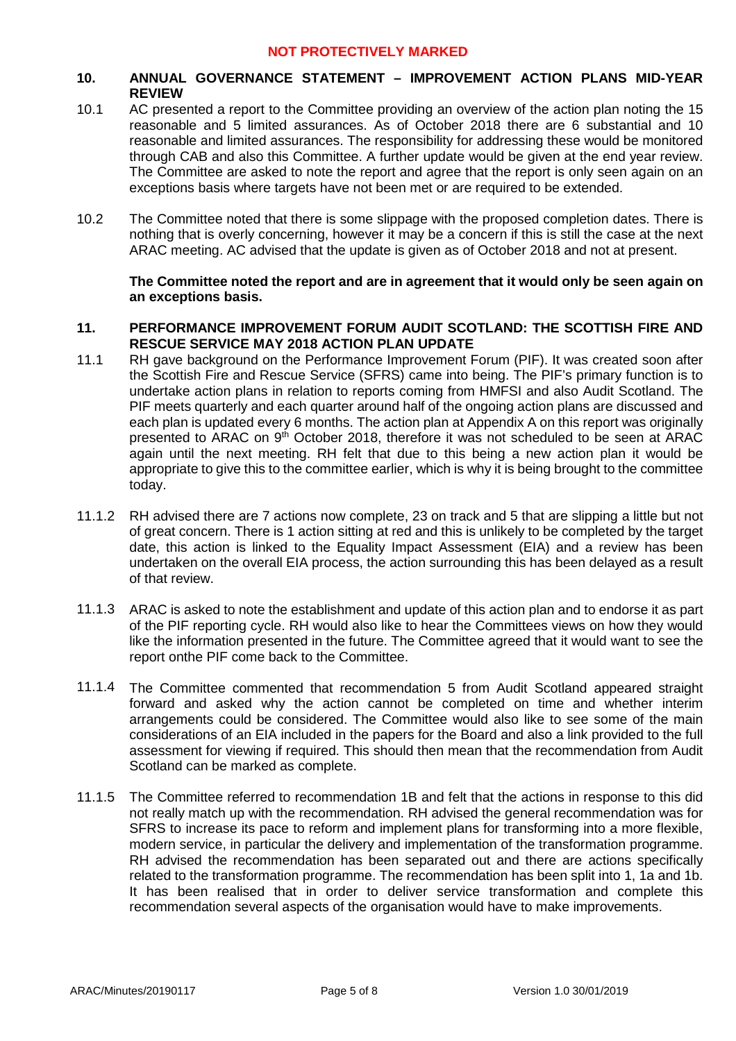### **10. ANNUAL GOVERNANCE STATEMENT – IMPROVEMENT ACTION PLANS MID-YEAR REVIEW**

- 10.1 AC presented a report to the Committee providing an overview of the action plan noting the 15 reasonable and 5 limited assurances. As of October 2018 there are 6 substantial and 10 reasonable and limited assurances. The responsibility for addressing these would be monitored through CAB and also this Committee. A further update would be given at the end year review. The Committee are asked to note the report and agree that the report is only seen again on an exceptions basis where targets have not been met or are required to be extended.
- 10.2 The Committee noted that there is some slippage with the proposed completion dates. There is nothing that is overly concerning, however it may be a concern if this is still the case at the next ARAC meeting. AC advised that the update is given as of October 2018 and not at present.

### **The Committee noted the report and are in agreement that it would only be seen again on an exceptions basis.**

### **11. PERFORMANCE IMPROVEMENT FORUM AUDIT SCOTLAND: THE SCOTTISH FIRE AND RESCUE SERVICE MAY 2018 ACTION PLAN UPDATE**

- 11.1 RH gave background on the Performance Improvement Forum (PIF). It was created soon after the Scottish Fire and Rescue Service (SFRS) came into being. The PIF's primary function is to undertake action plans in relation to reports coming from HMFSI and also Audit Scotland. The PIF meets quarterly and each quarter around half of the ongoing action plans are discussed and each plan is updated every 6 months. The action plan at Appendix A on this report was originally presented to ARAC on 9<sup>th</sup> October 2018, therefore it was not scheduled to be seen at ARAC again until the next meeting. RH felt that due to this being a new action plan it would be appropriate to give this to the committee earlier, which is why it is being brought to the committee today.
- 11.1.2 RH advised there are 7 actions now complete, 23 on track and 5 that are slipping a little but not of great concern. There is 1 action sitting at red and this is unlikely to be completed by the target date, this action is linked to the Equality Impact Assessment (EIA) and a review has been undertaken on the overall EIA process, the action surrounding this has been delayed as a result of that review.
- 11.1.3 ARAC is asked to note the establishment and update of this action plan and to endorse it as part of the PIF reporting cycle. RH would also like to hear the Committees views on how they would like the information presented in the future. The Committee agreed that it would want to see the report onthe PIF come back to the Committee.
- 11.1.4 The Committee commented that recommendation 5 from Audit Scotland appeared straight forward and asked why the action cannot be completed on time and whether interim arrangements could be considered. The Committee would also like to see some of the main considerations of an EIA included in the papers for the Board and also a link provided to the full assessment for viewing if required. This should then mean that the recommendation from Audit Scotland can be marked as complete.
- 11.1.5 The Committee referred to recommendation 1B and felt that the actions in response to this did not really match up with the recommendation. RH advised the general recommendation was for SFRS to increase its pace to reform and implement plans for transforming into a more flexible, modern service, in particular the delivery and implementation of the transformation programme. RH advised the recommendation has been separated out and there are actions specifically related to the transformation programme. The recommendation has been split into 1, 1a and 1b. It has been realised that in order to deliver service transformation and complete this recommendation several aspects of the organisation would have to make improvements.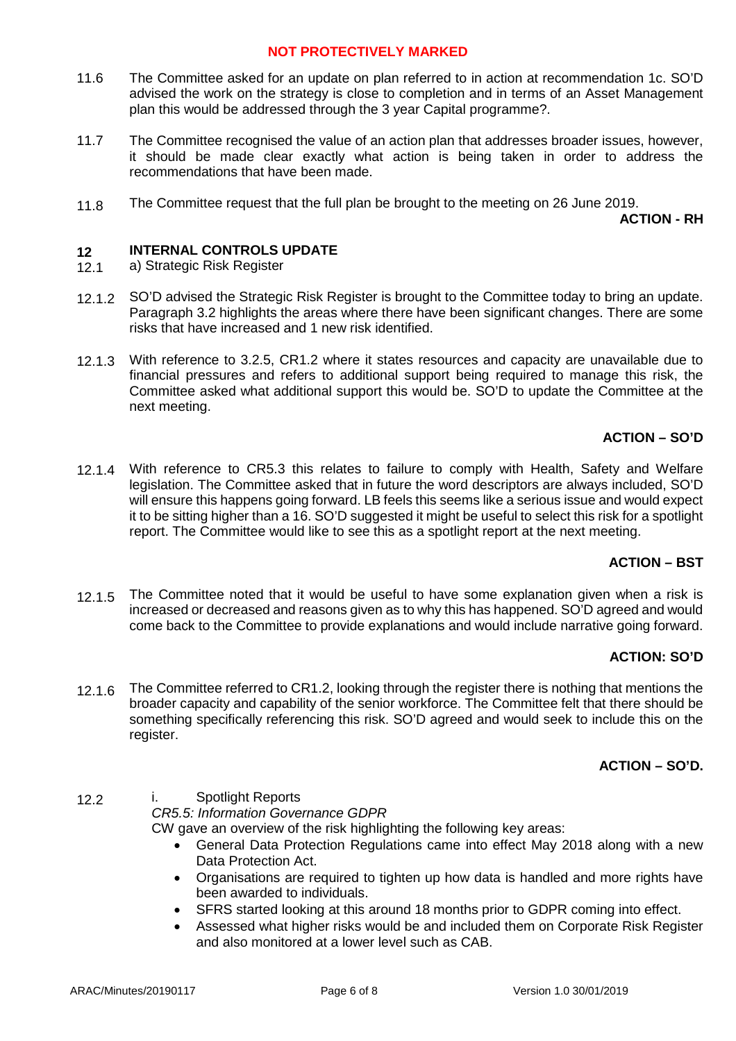- 11.6 The Committee asked for an update on plan referred to in action at recommendation 1c. SO'D advised the work on the strategy is close to completion and in terms of an Asset Management plan this would be addressed through the 3 year Capital programme?.
- 11.7 The Committee recognised the value of an action plan that addresses broader issues, however, it should be made clear exactly what action is being taken in order to address the recommendations that have been made.
- 11.8 The Committee request that the full plan be brought to the meeting on 26 June 2019.

**ACTION - RH**

#### **12 INTERNAL CONTROLS UPDATE**

- 12.1 a) Strategic Risk Register
- 12.1.2 SO'D advised the Strategic Risk Register is brought to the Committee today to bring an update. Paragraph 3.2 highlights the areas where there have been significant changes. There are some risks that have increased and 1 new risk identified.
- 12.1.3 With reference to 3.2.5, CR1.2 where it states resources and capacity are unavailable due to financial pressures and refers to additional support being required to manage this risk, the Committee asked what additional support this would be. SO'D to update the Committee at the next meeting.

### **ACTION – SO'D**

12.1.4 With reference to CR5.3 this relates to failure to comply with Health, Safety and Welfare legislation. The Committee asked that in future the word descriptors are always included, SO'D will ensure this happens going forward. LB feels this seems like a serious issue and would expect it to be sitting higher than a 16. SO'D suggested it might be useful to select this risk for a spotlight report. The Committee would like to see this as a spotlight report at the next meeting.

### **ACTION – BST**

12.1.5 The Committee noted that it would be useful to have some explanation given when a risk is increased or decreased and reasons given as to why this has happened. SO'D agreed and would come back to the Committee to provide explanations and would include narrative going forward.

### **ACTION: SO'D**

12.1.6 The Committee referred to CR1.2, looking through the register there is nothing that mentions the broader capacity and capability of the senior workforce. The Committee felt that there should be something specifically referencing this risk. SO'D agreed and would seek to include this on the register.

### **ACTION – SO'D.**

12.2 i. Spotlight Reports *CR5.5: Information Governance GDPR* CW gave an overview of the risk highlighting the following key areas:

- General Data Protection Regulations came into effect May 2018 along with a new Data Protection Act.
- Organisations are required to tighten up how data is handled and more rights have been awarded to individuals.
- SFRS started looking at this around 18 months prior to GDPR coming into effect.
- Assessed what higher risks would be and included them on Corporate Risk Register and also monitored at a lower level such as CAB.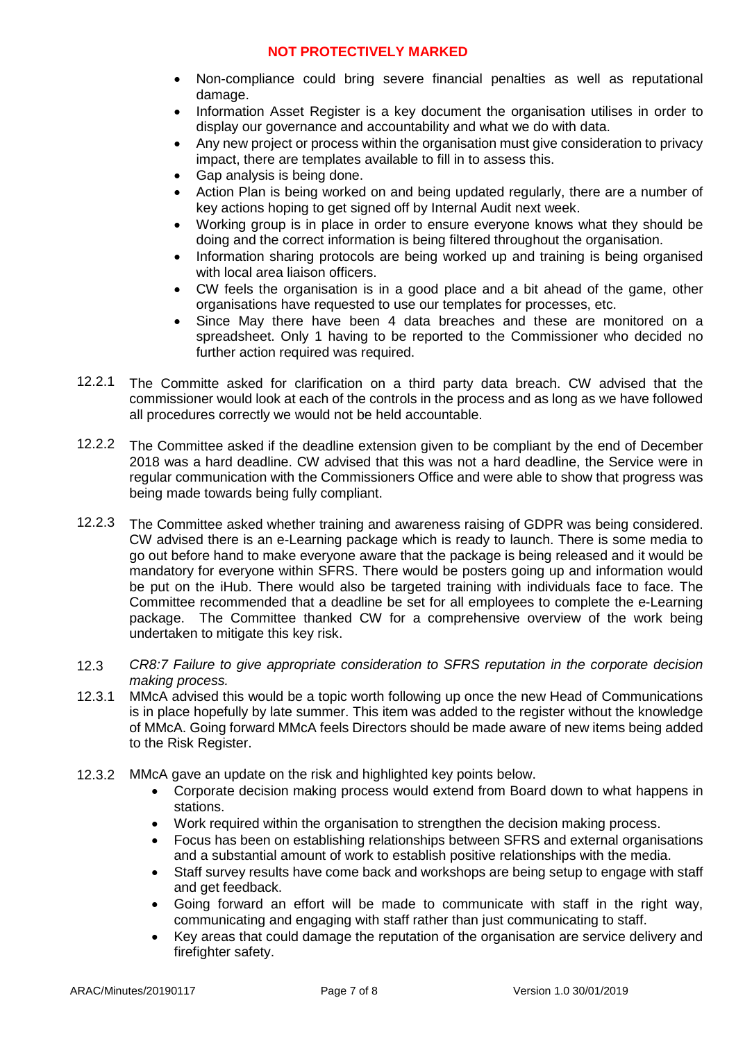- Non-compliance could bring severe financial penalties as well as reputational damage.
- Information Asset Register is a key document the organisation utilises in order to display our governance and accountability and what we do with data.
- Any new project or process within the organisation must give consideration to privacy impact, there are templates available to fill in to assess this.
- Gap analysis is being done.
- Action Plan is being worked on and being updated regularly, there are a number of key actions hoping to get signed off by Internal Audit next week.
- Working group is in place in order to ensure everyone knows what they should be doing and the correct information is being filtered throughout the organisation.
- Information sharing protocols are being worked up and training is being organised with local area liaison officers.
- CW feels the organisation is in a good place and a bit ahead of the game, other organisations have requested to use our templates for processes, etc.
- Since May there have been 4 data breaches and these are monitored on a spreadsheet. Only 1 having to be reported to the Commissioner who decided no further action required was required.
- 12.2.1 The Committe asked for clarification on a third party data breach. CW advised that the commissioner would look at each of the controls in the process and as long as we have followed all procedures correctly we would not be held accountable.
- 12.2.2 The Committee asked if the deadline extension given to be compliant by the end of December 2018 was a hard deadline. CW advised that this was not a hard deadline, the Service were in regular communication with the Commissioners Office and were able to show that progress was being made towards being fully compliant.
- 12.2.3 The Committee asked whether training and awareness raising of GDPR was being considered. CW advised there is an e-Learning package which is ready to launch. There is some media to go out before hand to make everyone aware that the package is being released and it would be mandatory for everyone within SFRS. There would be posters going up and information would be put on the iHub. There would also be targeted training with individuals face to face. The Committee recommended that a deadline be set for all employees to complete the e-Learning package. The Committee thanked CW for a comprehensive overview of the work being undertaken to mitigate this key risk.
- 12.3 *CR8:7 Failure to give appropriate consideration to SFRS reputation in the corporate decision making process.*
- 12.3.1 MMcA advised this would be a topic worth following up once the new Head of Communications is in place hopefully by late summer. This item was added to the register without the knowledge of MMcA. Going forward MMcA feels Directors should be made aware of new items being added to the Risk Register.
- 12.3.2 MMcA gave an update on the risk and highlighted key points below.
	- Corporate decision making process would extend from Board down to what happens in stations.
	- Work required within the organisation to strengthen the decision making process.
	- Focus has been on establishing relationships between SFRS and external organisations and a substantial amount of work to establish positive relationships with the media.
	- Staff survey results have come back and workshops are being setup to engage with staff and get feedback.
	- Going forward an effort will be made to communicate with staff in the right way, communicating and engaging with staff rather than just communicating to staff.
	- Key areas that could damage the reputation of the organisation are service delivery and firefighter safety.